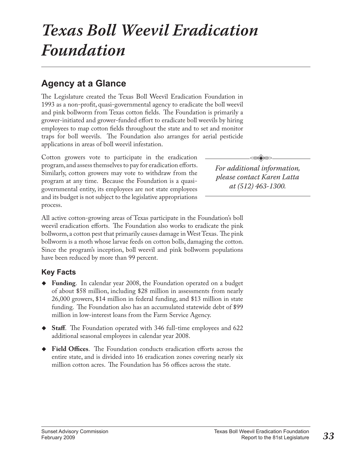# *Texas Boll Weevil Eradication Foundation*

### **Agency at a Glance**

The Legislature created the Texas Boll Weevil Eradication Foundation in 1993 as a non-profit, quasi-governmental agency to eradicate the boll weevil and pink bollworm from Texas cotton fields. The Foundation is primarily a grower-initiated and grower-funded effort to eradicate boll weevils by hiring employees to map cotton fields throughout the state and to set and monitor traps for boll weevils. The Foundation also arranges for aerial pesticide applications in areas of boll weevil infestation.

Cotton growers vote to participate in the eradication program, and assess themselves to pay for eradication efforts. Similarly, cotton growers may vote to withdraw from the program at any time. Because the Foundation is a quasigovernmental entity, its employees are not state employees and its budget is not subject to the legislative appropriations process.

All active cotton-growing areas of Texas participate in the Foundation's boll weevil eradication efforts. The Foundation also works to eradicate the pink bollworm, a cotton pest that primarily causes damage in West Texas. The pink bollworm is a moth whose larvae feeds on cotton bolls, damaging the cotton. Since the program's inception, boll weevil and pink bollworm populations have been reduced by more than 99 percent.

### **Key Facts**

- **Funding**. In calendar year 2008, the Foundation operated on a budget of about \$58 million, including \$28 million in assessments from nearly 26,000 growers, \$14 million in federal funding, and \$13 million in state funding. The Foundation also has an accumulated statewide debt of \$99 million in low-interest loans from the Farm Service Agency.
- ◆ **Staff**. The Foundation operated with 346 full-time employees and 622 additional seasonal employees in calendar year 2008.
- Field Offices. The Foundation conducts eradication efforts across the entire state, and is divided into 16 eradication zones covering nearly six million cotton acres. The Foundation has 56 offices across the state.

*For additional information, please contact Karen Latta at (512) 463-1300.*

 $\overline{\mathbb{R}}$ .<br>V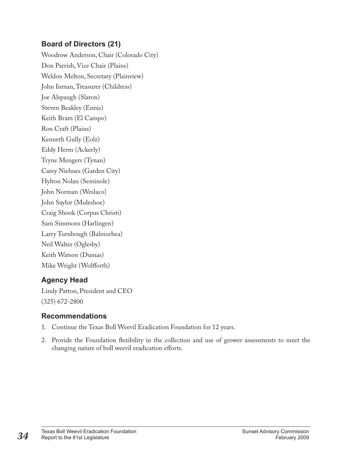#### **Board of Directors (21)**

Woodrow Anderson, Chair (Colorado City) Don Parrish, Vice Chair (Plains) Weldon Melton, Secretary (Plainview) John Inman, Treasurer (Childress) Joe Alspaugh (Slaton) Steven Beakley (Ennis) Keith Bram (El Campo) Ron Craft (Plains) Kenneth Gully (Eolz) Eddy Herm (Ackerly) Tryne Mengers (Tynan) Carey Niehues (Garden City) Hylton Nolan (Seminole) John Norman (Weslaco) John Saylor (Muleshoe) Craig Shook (Corpus Christi) Sam Simmons (Harlingen) Larry Turnbough (Balmorhea) Neil Walter (Oglesby) Keith Watson (Dumas) Mike Wright (Wolfforth)

#### **Agency Head**

Lindy Patton, President and CEO (325) 672-2800

#### **Recommendations**

- 1. Continue the Texas Boll Weevil Eradication Foundation for 12 years.
- 2. Provide the Foundation flexibility in the collection and use of grower assessments to meet the changing nature of boll weevil eradication efforts.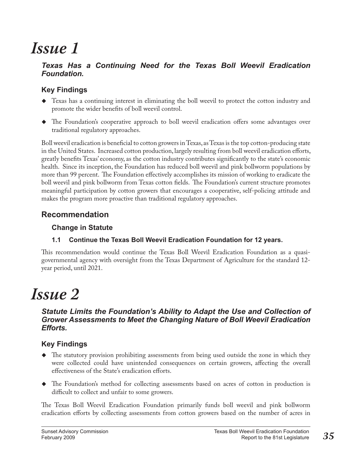# *Issue 1*

#### *Texas Has a Continuing Need for the Texas Boll Weevil Eradication Foundation.*

#### **Key Findings**

- Texas has a continuing interest in eliminating the boll weevil to protect the cotton industry and promote the wider benefits of boll weevil control.
- $\blacklozenge$  The Foundation's cooperative approach to boll weevil eradication offers some advantages over traditional regulatory approaches.

Boll weevil eradication is beneficial to cotton growers in Texas, as Texas is the top cotton-producing state in the United States. Increased cotton production, largely resulting from boll weevil eradication efforts, greatly benefits Texas' economy, as the cotton industry contributes significantly to the state's economic health. Since its inception, the Foundation has reduced boll weevil and pink bollworm populations by more than 99 percent. The Foundation effectively accomplishes its mission of working to eradicate the boll weevil and pink bollworm from Texas cotton fields. The Foundation's current structure promotes meaningful participation by cotton growers that encourages a cooperative, self-policing attitude and makes the program more proactive than traditional regulatory approaches.

### **Recommendation**

#### **Change in Statute**

#### **1.1 Continue the Texas Boll Weevil Eradication Foundation for 12 years.**

This recommendation would continue the Texas Boll Weevil Eradication Foundation as a quasigovernmental agency with oversight from the Texas Department of Agriculture for the standard 12 year period, until 2021.

# *Issue 2*

#### *Statute Limits the Foundation's Ability to Adapt the Use and Collection of Grower Assessments to Meet the Changing Nature of Boll Weevil Eradication Efforts.*

### **Key Findings**

- $\blacklozenge$  The statutory provision prohibiting assessments from being used outside the zone in which they were collected could have unintended consequences on certain growers, affecting the overall effectiveness of the State's eradication efforts.
- The Foundation's method for collecting assessments based on acres of cotton in production is difficult to collect and unfair to some growers.

The Texas Boll Weevil Eradication Foundation primarily funds boll weevil and pink bollworm eradication efforts by collecting assessments from cotton growers based on the number of acres in